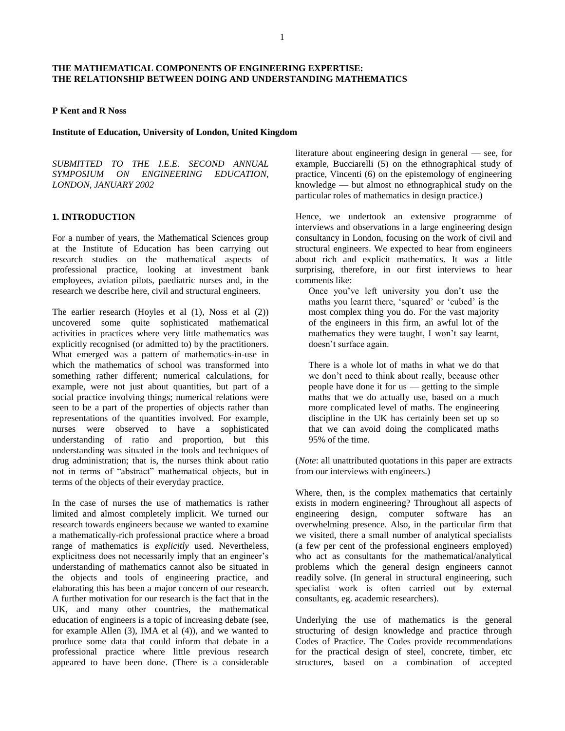# **THE MATHEMATICAL COMPONENTS OF ENGINEERING EXPERTISE: THE RELATIONSHIP BETWEEN DOING AND UNDERSTANDING MATHEMATICS**

**P Kent and R Noss**

## **Institute of Education, University of London, United Kingdom**

*SUBMITTED TO THE I.E.E. SECOND ANNUAL SYMPOSIUM ON ENGINEERING EDUCATION, LONDON, JANUARY 2002*

# **1. INTRODUCTION**

For a number of years, the Mathematical Sciences group at the Institute of Education has been carrying out research studies on the mathematical aspects of professional practice, looking at investment bank employees, aviation pilots, paediatric nurses and, in the research we describe here, civil and structural engineers.

The earlier research (Hoyles et al (1), Noss et al (2)) uncovered some quite sophisticated mathematical activities in practices where very little mathematics was explicitly recognised (or admitted to) by the practitioners. What emerged was a pattern of mathematics-in-use in which the mathematics of school was transformed into something rather different; numerical calculations, for example, were not just about quantities, but part of a social practice involving things; numerical relations were seen to be a part of the properties of objects rather than representations of the quantities involved. For example, nurses were observed to have a sophisticated understanding of ratio and proportion, but this understanding was situated in the tools and techniques of drug administration; that is, the nurses think about ratio not in terms of "abstract" mathematical objects, but in terms of the objects of their everyday practice.

In the case of nurses the use of mathematics is rather limited and almost completely implicit. We turned our research towards engineers because we wanted to examine a mathematically-rich professional practice where a broad range of mathematics is *explicitly* used. Nevertheless, explicitness does not necessarily imply that an engineer's understanding of mathematics cannot also be situated in the objects and tools of engineering practice, and elaborating this has been a major concern of our research. A further motivation for our research is the fact that in the UK, and many other countries, the mathematical education of engineers is a topic of increasing debate (see, for example Allen (3), IMA et al (4)), and we wanted to produce some data that could inform that debate in a professional practice where little previous research appeared to have been done. (There is a considerable

literature about engineering design in general — see, for example, Bucciarelli (5) on the ethnographical study of practice, Vincenti (6) on the epistemology of engineering knowledge — but almost no ethnographical study on the particular roles of mathematics in design practice.)

Hence, we undertook an extensive programme of interviews and observations in a large engineering design consultancy in London, focusing on the work of civil and structural engineers. We expected to hear from engineers about rich and explicit mathematics. It was a little surprising, therefore, in our first interviews to hear comments like:

Once you've left university you don't use the maths you learnt there, 'squared' or 'cubed' is the most complex thing you do. For the vast majority of the engineers in this firm, an awful lot of the mathematics they were taught, I won't say learnt, doesn't surface again.

There is a whole lot of maths in what we do that we don't need to think about really, because other people have done it for us — getting to the simple maths that we do actually use, based on a much more complicated level of maths. The engineering discipline in the UK has certainly been set up so that we can avoid doing the complicated maths 95% of the time.

(*Note*: all unattributed quotations in this paper are extracts from our interviews with engineers.)

Where, then, is the complex mathematics that certainly exists in modern engineering? Throughout all aspects of engineering design, computer software has an overwhelming presence. Also, in the particular firm that we visited, there a small number of analytical specialists (a few per cent of the professional engineers employed) who act as consultants for the mathematical/analytical problems which the general design engineers cannot readily solve. (In general in structural engineering, such specialist work is often carried out by external consultants, eg. academic researchers).

Underlying the use of mathematics is the general structuring of design knowledge and practice through Codes of Practice. The Codes provide recommendations for the practical design of steel, concrete, timber, etc structures, based on a combination of accepted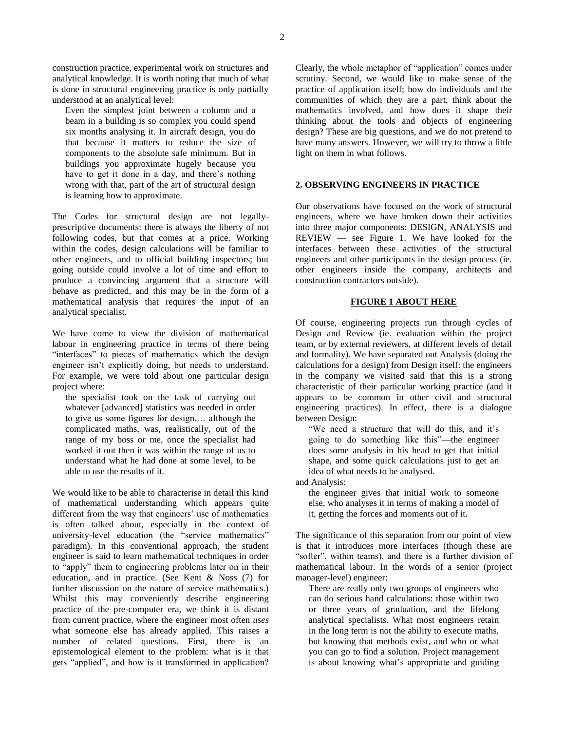construction practice, experimental work on structures and analytical knowledge. It is worth noting that much of what is done in structural engineering practice is only partially understood at an analytical level:

Even the simplest joint between a column and a beam in a building is so complex you could spend six months analysing it. In aircraft design, you do that because it matters to reduce the size of components to the absolute safe minimum. But in buildings you approximate hugely because you have to get it done in a day, and there's nothing wrong with that, part of the art of structural design is learning how to approximate.

The Codes for structural design are not legallyprescriptive documents: there is always the liberty of not following codes, but that comes at a price. Working within the codes, design calculations will be familiar to other engineers, and to official building inspectors; but going outside could involve a lot of time and effort to produce a convincing argument that a structure will behave as predicted, and this may be in the form of a mathematical analysis that requires the input of an analytical specialist.

We have come to view the division of mathematical labour in engineering practice in terms of there being "interfaces" to pieces of mathematics which the design engineer isn't explicitly doing, but needs to understand. For example, we were told about one particular design project where:

the specialist took on the task of carrying out whatever [advanced] statistics was needed in order to give us some figures for design.… although the complicated maths, was, realistically, out of the range of my boss or me, once the specialist had worked it out then it was within the range of us to understand what he had done at some level, to be able to use the results of it.

We would like to be able to characterise in detail this kind of mathematical understanding which appears quite different from the way that engineers' use of mathematics is often talked about, especially in the context of university-level education (the "service mathematics" paradigm). In this conventional approach, the student engineer is said to learn mathematical techniques in order to "apply" them to engineering problems later on in their education, and in practice. (See Kent & Noss (7) for further discussion on the nature of service mathematics.) Whilst this may conveniently describe engineering practice of the pre-computer era, we think it is distant from current practice, where the engineer most often *uses* what someone else has already applied. This raises a number of related questions. First, there is an epistemological element to the problem: what is it that gets "applied", and how is it transformed in application?

Clearly, the whole metaphor of "application" comes under scrutiny. Second, we would like to make sense of the practice of application itself; how do individuals and the communities of which they are a part, think about the mathematics involved, and how does it shape their thinking about the tools and objects of engineering design? These are big questions, and we do not pretend to have many answers. However, we will try to throw a little light on them in what follows.

## **2. OBSERVING ENGINEERS IN PRACTICE**

Our observations have focused on the work of structural engineers, where we have broken down their activities into three major components: DESIGN, ANALYSIS and REVIEW — see Figure 1. We have looked for the interfaces between these activities of the structural engineers and other participants in the design process (ie. other engineers inside the company, architects and construction contractors outside).

#### **FIGURE 1 ABOUT HERE**

Of course, engineering projects run through cycles of Design and Review (ie. evaluation within the project team, or by external reviewers, at different levels of detail and formality). We have separated out Analysis (doing the calculations for a design) from Design itself: the engineers in the company we visited said that this is a strong characteristic of their particular working practice (and it appears to be common in other civil and structural engineering practices). In effect, there is a dialogue between Design:

―We need a structure that will do this, and it's going to do something like this"—the engineer does some analysis in his head to get that initial shape, and some quick calculations just to get an idea of what needs to be analysed.

and Analysis:

the engineer gives that initial work to someone else, who analyses it in terms of making a model of it, getting the forces and moments out of it.

The significance of this separation from our point of view is that it introduces more interfaces (though these are "softer", within teams), and there is a further division of mathematical labour. In the words of a senior (project manager-level) engineer:

There are really only two groups of engineers who can do serious hand calculations: those within two or three years of graduation, and the lifelong analytical specialists. What most engineers retain in the long term is not the ability to execute maths, but knowing that methods exist, and who or what you can go to find a solution. Project management is about knowing what's appropriate and guiding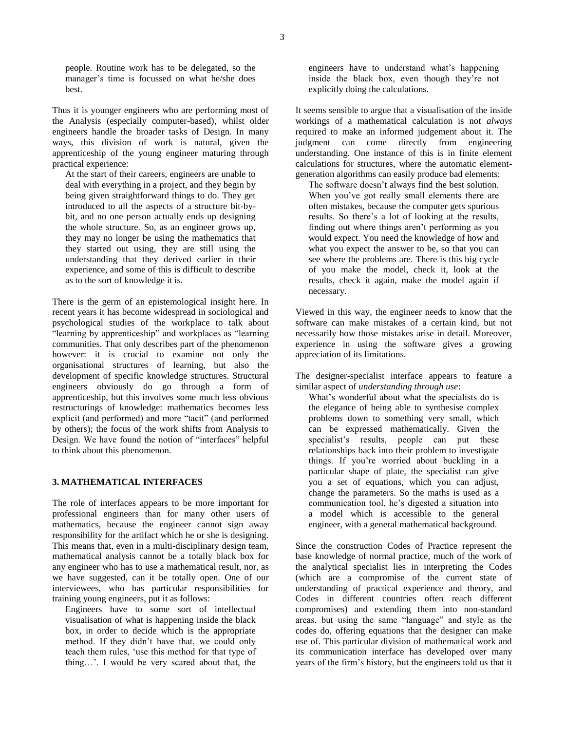people. Routine work has to be delegated, so the manager's time is focussed on what he/she does best.

Thus it is younger engineers who are performing most of the Analysis (especially computer-based), whilst older engineers handle the broader tasks of Design. In many ways, this division of work is natural, given the apprenticeship of the young engineer maturing through practical experience:

At the start of their careers, engineers are unable to deal with everything in a project, and they begin by being given straightforward things to do. They get introduced to all the aspects of a structure bit-bybit, and no one person actually ends up designing the whole structure. So, as an engineer grows up, they may no longer be using the mathematics that they started out using, they are still using the understanding that they derived earlier in their experience, and some of this is difficult to describe as to the sort of knowledge it is.

There is the germ of an epistemological insight here. In recent years it has become widespread in sociological and psychological studies of the workplace to talk about "learning by apprenticeship" and workplaces as "learning" communities. That only describes part of the phenomenon however: it is crucial to examine not only the organisational structures of learning, but also the development of specific knowledge structures. Structural engineers obviously do go through a form of apprenticeship, but this involves some much less obvious restructurings of knowledge: mathematics becomes less explicit (and performed) and more "tacit" (and performed by others); the focus of the work shifts from Analysis to Design. We have found the notion of "interfaces" helpful to think about this phenomenon.

# **3. MATHEMATICAL INTERFACES**

The role of interfaces appears to be more important for professional engineers than for many other users of mathematics, because the engineer cannot sign away responsibility for the artifact which he or she is designing. This means that, even in a multi-disciplinary design team, mathematical analysis cannot be a totally black box for any engineer who has to use a mathematical result, nor, as we have suggested, can it be totally open. One of our interviewees, who has particular responsibilities for training young engineers, put it as follows:

Engineers have to some sort of intellectual visualisation of what is happening inside the black box, in order to decide which is the appropriate method. If they didn't have that, we could only teach them rules, 'use this method for that type of thing…'. I would be very scared about that, the engineers have to understand what's happening inside the black box, even though they're not explicitly doing the calculations.

It seems sensible to argue that a visualisation of the inside workings of a mathematical calculation is not *always* required to make an informed judgement about it. The judgment can come directly from engineering understanding. One instance of this is in finite element calculations for structures, where the automatic elementgeneration algorithms can easily produce bad elements:

The software doesn't always find the best solution. When you've got really small elements there are often mistakes, because the computer gets spurious results. So there's a lot of looking at the results, finding out where things aren't performing as you would expect. You need the knowledge of how and what you expect the answer to be, so that you can see where the problems are. There is this big cycle of you make the model, check it, look at the results, check it again, make the model again if necessary.

Viewed in this way, the engineer needs to know that the software can make mistakes of a certain kind, but not necessarily how those mistakes arise in detail. Moreover, experience in using the software gives a growing appreciation of its limitations.

The designer-specialist interface appears to feature a similar aspect of *understanding through use*:

What's wonderful about what the specialists do is the elegance of being able to synthesise complex problems down to something very small, which can be expressed mathematically. Given the specialist's results, people can put these relationships back into their problem to investigate things. If you're worried about buckling in a particular shape of plate, the specialist can give you a set of equations, which you can adjust, change the parameters. So the maths is used as a communication tool, he's digested a situation into a model which is accessible to the general engineer, with a general mathematical background.

Since the construction Codes of Practice represent the base knowledge of normal practice, much of the work of the analytical specialist lies in interpreting the Codes (which are a compromise of the current state of understanding of practical experience and theory, and Codes in different countries often reach different compromises) and extending them into non-standard areas, but using the same "language" and style as the codes do, offering equations that the designer can make use of. This particular division of mathematical work and its communication interface has developed over many years of the firm's history, but the engineers told us that it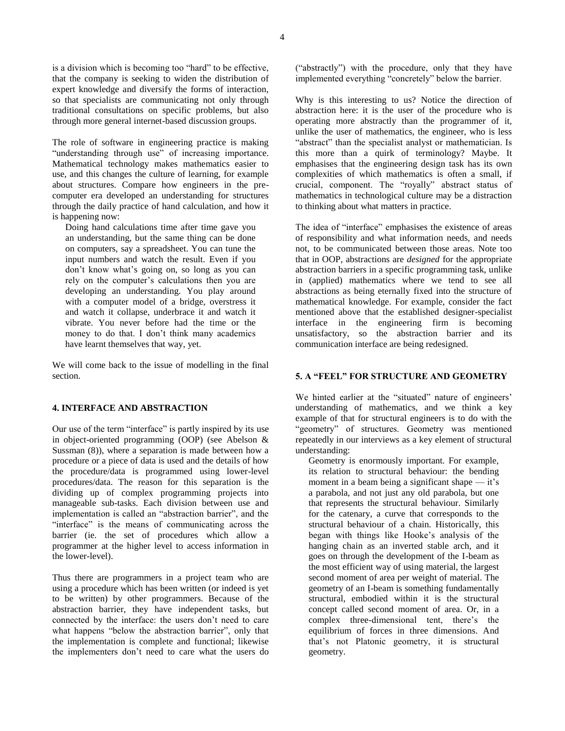is a division which is becoming too "hard" to be effective, that the company is seeking to widen the distribution of expert knowledge and diversify the forms of interaction, so that specialists are communicating not only through traditional consultations on specific problems, but also through more general internet-based discussion groups.

The role of software in engineering practice is making "understanding through use" of increasing importance. Mathematical technology makes mathematics easier to use, and this changes the culture of learning, for example about structures. Compare how engineers in the precomputer era developed an understanding for structures through the daily practice of hand calculation, and how it is happening now:

Doing hand calculations time after time gave you an understanding, but the same thing can be done on computers, say a spreadsheet. You can tune the input numbers and watch the result. Even if you don't know what's going on, so long as you can rely on the computer's calculations then you are developing an understanding. You play around with a computer model of a bridge, overstress it and watch it collapse, underbrace it and watch it vibrate. You never before had the time or the money to do that. I don't think many academics have learnt themselves that way, yet.

We will come back to the issue of modelling in the final section.

## **4. INTERFACE AND ABSTRACTION**

Our use of the term "interface" is partly inspired by its use in object-oriented programming (OOP) (see Abelson & Sussman (8)), where a separation is made between how a procedure or a piece of data is used and the details of how the procedure/data is programmed using lower-level procedures/data. The reason for this separation is the dividing up of complex programming projects into manageable sub-tasks. Each division between use and implementation is called an "abstraction barrier", and the "interface" is the means of communicating across the barrier (ie. the set of procedures which allow a programmer at the higher level to access information in the lower-level).

Thus there are programmers in a project team who are using a procedure which has been written (or indeed is yet to be written) by other programmers. Because of the abstraction barrier, they have independent tasks, but connected by the interface: the users don't need to care what happens "below the abstraction barrier", only that the implementation is complete and functional; likewise the implementers don't need to care what the users do ("abstractly") with the procedure, only that they have implemented everything "concretely" below the barrier.

Why is this interesting to us? Notice the direction of abstraction here: it is the user of the procedure who is operating more abstractly than the programmer of it, unlike the user of mathematics, the engineer, who is less "abstract" than the specialist analyst or mathematician. Is this more than a quirk of terminology? Maybe. It emphasises that the engineering design task has its own complexities of which mathematics is often a small, if crucial, component. The "royally" abstract status of mathematics in technological culture may be a distraction to thinking about what matters in practice.

The idea of "interface" emphasises the existence of areas of responsibility and what information needs, and needs not, to be communicated between those areas. Note too that in OOP, abstractions are *designed* for the appropriate abstraction barriers in a specific programming task, unlike in (applied) mathematics where we tend to see all abstractions as being eternally fixed into the structure of mathematical knowledge. For example, consider the fact mentioned above that the established designer-specialist interface in the engineering firm is becoming unsatisfactory, so the abstraction barrier and its communication interface are being redesigned.

# **5. A "FEEL" FOR STRUCTURE AND GEOMETRY**

We hinted earlier at the "situated" nature of engineers' understanding of mathematics, and we think a key example of that for structural engineers is to do with the "geometry" of structures. Geometry was mentioned repeatedly in our interviews as a key element of structural understanding:

Geometry is enormously important. For example, its relation to structural behaviour: the bending moment in a beam being a significant shape — it's a parabola, and not just any old parabola, but one that represents the structural behaviour. Similarly for the catenary, a curve that corresponds to the structural behaviour of a chain. Historically, this began with things like Hooke's analysis of the hanging chain as an inverted stable arch, and it goes on through the development of the I-beam as the most efficient way of using material, the largest second moment of area per weight of material. The geometry of an I-beam is something fundamentally structural, embodied within it is the structural concept called second moment of area. Or, in a complex three-dimensional tent, there's the equilibrium of forces in three dimensions. And that's not Platonic geometry, it is structural geometry.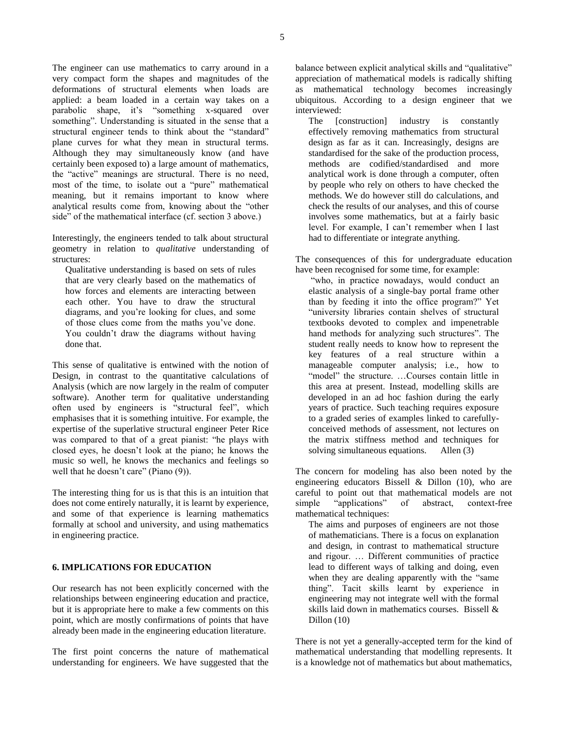The engineer can use mathematics to carry around in a very compact form the shapes and magnitudes of the deformations of structural elements when loads are applied: a beam loaded in a certain way takes on a parabolic shape, it's "something x-squared over something". Understanding is situated in the sense that a structural engineer tends to think about the "standard" plane curves for what they mean in structural terms. Although they may simultaneously know (and have certainly been exposed to) a large amount of mathematics, the "active" meanings are structural. There is no need, most of the time, to isolate out a "pure" mathematical meaning, but it remains important to know where analytical results come from, knowing about the "other side" of the mathematical interface (cf. section 3 above.)

Interestingly, the engineers tended to talk about structural geometry in relation to *qualitative* understanding of structures:

Qualitative understanding is based on sets of rules that are very clearly based on the mathematics of how forces and elements are interacting between each other. You have to draw the structural diagrams, and you're looking for clues, and some of those clues come from the maths you've done. You couldn't draw the diagrams without having done that.

This sense of qualitative is entwined with the notion of Design, in contrast to the quantitative calculations of Analysis (which are now largely in the realm of computer software). Another term for qualitative understanding often used by engineers is "structural feel", which emphasises that it is something intuitive. For example, the expertise of the superlative structural engineer Peter Rice was compared to that of a great pianist: "he plays with closed eyes, he doesn't look at the piano; he knows the music so well, he knows the mechanics and feelings so well that he doesn't care" (Piano  $(9)$ ).

The interesting thing for us is that this is an intuition that does not come entirely naturally, it is learnt by experience, and some of that experience is learning mathematics formally at school and university, and using mathematics in engineering practice.

## **6. IMPLICATIONS FOR EDUCATION**

Our research has not been explicitly concerned with the relationships between engineering education and practice, but it is appropriate here to make a few comments on this point, which are mostly confirmations of points that have already been made in the engineering education literature.

The first point concerns the nature of mathematical understanding for engineers. We have suggested that the balance between explicit analytical skills and "qualitative" appreciation of mathematical models is radically shifting as mathematical technology becomes increasingly ubiquitous. According to a design engineer that we interviewed:

The [construction] industry is constantly effectively removing mathematics from structural design as far as it can. Increasingly, designs are standardised for the sake of the production process, methods are codified/standardised and more analytical work is done through a computer, often by people who rely on others to have checked the methods. We do however still do calculations, and check the results of our analyses, and this of course involves some mathematics, but at a fairly basic level. For example, I can't remember when I last had to differentiate or integrate anything.

The consequences of this for undergraduate education have been recognised for some time, for example:

"who, in practice nowadays, would conduct an elastic analysis of a single-bay portal frame other than by feeding it into the office program?" Yet "university libraries contain shelves of structural textbooks devoted to complex and impenetrable hand methods for analyzing such structures". The student really needs to know how to represent the key features of a real structure within a manageable computer analysis; i.e., how to "model" the structure. ...Courses contain little in this area at present. Instead, modelling skills are developed in an ad hoc fashion during the early years of practice. Such teaching requires exposure to a graded series of examples linked to carefullyconceived methods of assessment, not lectures on the matrix stiffness method and techniques for solving simultaneous equations. Allen (3)

The concern for modeling has also been noted by the engineering educators Bissell & Dillon (10), who are careful to point out that mathematical models are not simple "applications" of abstract, context-free mathematical techniques:

The aims and purposes of engineers are not those of mathematicians. There is a focus on explanation and design, in contrast to mathematical structure and rigour. … Different communities of practice lead to different ways of talking and doing, even when they are dealing apparently with the "same" thing". Tacit skills learnt by experience in engineering may not integrate well with the formal skills laid down in mathematics courses. Bissell & Dillon (10)

There is not yet a generally-accepted term for the kind of mathematical understanding that modelling represents. It is a knowledge not of mathematics but about mathematics,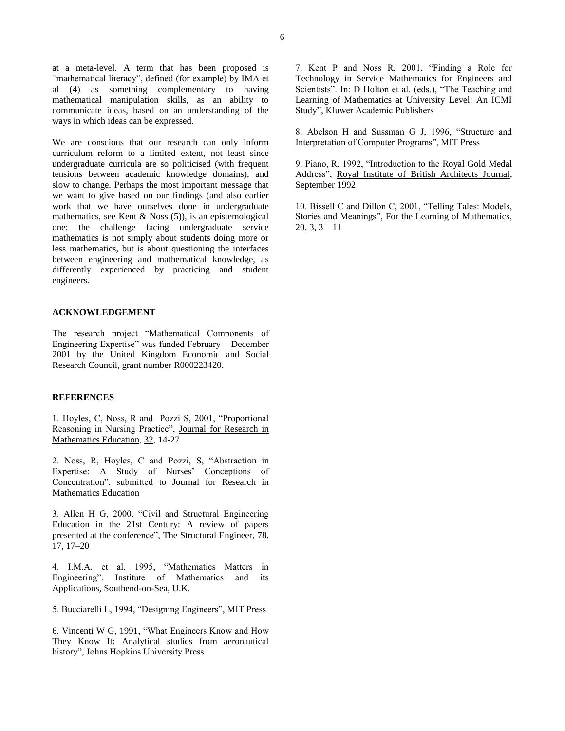at a meta-level. A term that has been proposed is "mathematical literacy", defined (for example) by IMA et al (4) as something complementary to having mathematical manipulation skills, as an ability to communicate ideas, based on an understanding of the ways in which ideas can be expressed.

We are conscious that our research can only inform curriculum reform to a limited extent, not least since undergraduate curricula are so politicised (with frequent tensions between academic knowledge domains), and slow to change. Perhaps the most important message that we want to give based on our findings (and also earlier work that we have ourselves done in undergraduate mathematics, see Kent  $\&$  Noss (5)), is an epistemological one: the challenge facing undergraduate service mathematics is not simply about students doing more or less mathematics, but is about questioning the interfaces between engineering and mathematical knowledge, as differently experienced by practicing and student engineers.

#### **ACKNOWLEDGEMENT**

The research project "Mathematical Components of Engineering Expertise" was funded February - December 2001 by the United Kingdom Economic and Social Research Council, grant number R000223420.

#### **REFERENCES**

1. Hoyles, C, Noss, R and Pozzi S, 2001, "Proportional Reasoning in Nursing Practice", Journal for Research in Mathematics Education, 32, 14-27

2. Noss, R, Hoyles, C and Pozzi, S, "Abstraction in Expertise: A Study of Nurses' Conceptions of Concentration", submitted to Journal for Research in Mathematics Education

3. Allen H G, 2000. "Civil and Structural Engineering Education in the 21st Century: A review of papers presented at the conference", The Structural Engineer, 78, 17, 17–20

4. I.M.A. et al, 1995, "Mathematics Matters in Engineering". Institute of Mathematics and its Applications, Southend-on-Sea, U.K.

5. Bucciarelli L, 1994, "Designing Engineers", MIT Press

6. Vincenti W G, 1991, "What Engineers Know and How They Know It: Analytical studies from aeronautical history", Johns Hopkins University Press

7. Kent P and Noss R, 2001, "Finding a Role for Technology in Service Mathematics for Engineers and Scientists". In: D Holton et al. (eds.), "The Teaching and Learning of Mathematics at University Level: An ICMI Study", Kluwer Academic Publishers

8. Abelson H and Sussman G J, 1996, "Structure and Interpretation of Computer Programs", MIT Press

9. Piano, R, 1992, "Introduction to the Royal Gold Medal Address", Royal Institute of British Architects Journal, September 1992

10. Bissell C and Dillon C, 2001, "Telling Tales: Models, Stories and Meanings", For the Learning of Mathematics,  $20, 3, 3 - 11$